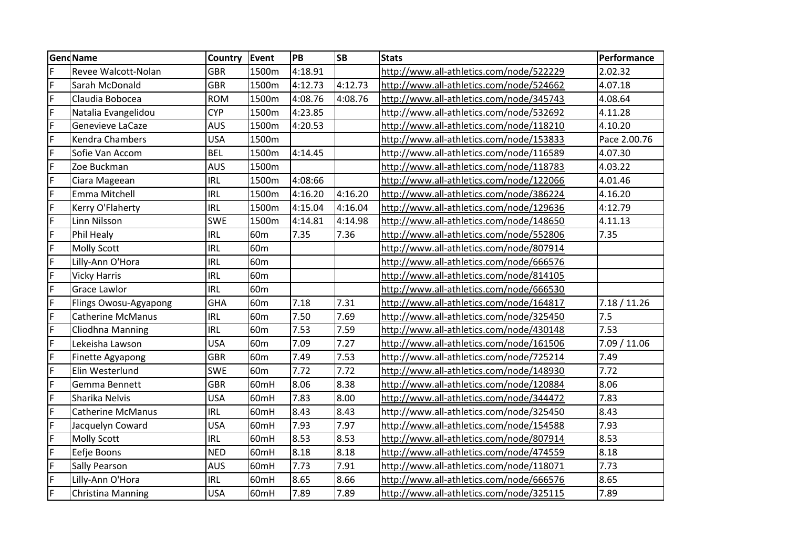| <b>GendName</b> |                          | Country    | Event           | PB      | <b>SB</b> | <b>Stats</b>                             | Performance  |
|-----------------|--------------------------|------------|-----------------|---------|-----------|------------------------------------------|--------------|
| F               | Revee Walcott-Nolan      | <b>GBR</b> | 1500m           | 4:18.91 |           | http://www.all-athletics.com/node/522229 | 2.02.32      |
| F               | Sarah McDonald           | <b>GBR</b> | 1500m           | 4:12.73 | 4:12.73   | http://www.all-athletics.com/node/524662 | 4.07.18      |
| F               | Claudia Bobocea          | <b>ROM</b> | 1500m           | 4:08.76 | 4:08.76   | http://www.all-athletics.com/node/345743 | 4.08.64      |
| F               | Natalia Evangelidou      | <b>CYP</b> | 1500m           | 4:23.85 |           | http://www.all-athletics.com/node/532692 | 4.11.28      |
| F               | Genevieve LaCaze         | <b>AUS</b> | 1500m           | 4:20.53 |           | http://www.all-athletics.com/node/118210 | 4.10.20      |
| F               | <b>Kendra Chambers</b>   | <b>USA</b> | 1500m           |         |           | http://www.all-athletics.com/node/153833 | Pace 2.00.76 |
| F               | Sofie Van Accom          | <b>BEL</b> | 1500m           | 4:14.45 |           | http://www.all-athletics.com/node/116589 | 4.07.30      |
| $\mathsf F$     | Zoe Buckman              | <b>AUS</b> | 1500m           |         |           | http://www.all-athletics.com/node/118783 | 4.03.22      |
| $\mathsf F$     | Ciara Mageean            | <b>IRL</b> | 1500m           | 4:08:66 |           | http://www.all-athletics.com/node/122066 | 4.01.46      |
| F               | Emma Mitchell            | <b>IRL</b> | 1500m           | 4:16.20 | 4:16.20   | http://www.all-athletics.com/node/386224 | 4.16.20      |
| F               | Kerry O'Flaherty         | <b>IRL</b> | 1500m           | 4:15.04 | 4:16.04   | http://www.all-athletics.com/node/129636 | 4:12.79      |
| F               | Linn Nilsson             | <b>SWE</b> | 1500m           | 4:14.81 | 4:14.98   | http://www.all-athletics.com/node/148650 | 4.11.13      |
| F               | Phil Healy               | <b>IRL</b> | 60 <sub>m</sub> | 7.35    | 7.36      | http://www.all-athletics.com/node/552806 | 7.35         |
| F               | <b>Molly Scott</b>       | <b>IRL</b> | 60 <sub>m</sub> |         |           | http://www.all-athletics.com/node/807914 |              |
| F               | Lilly-Ann O'Hora         | <b>IRL</b> | 60 <sub>m</sub> |         |           | http://www.all-athletics.com/node/666576 |              |
| F               | <b>Vicky Harris</b>      | <b>IRL</b> | 60 <sub>m</sub> |         |           | http://www.all-athletics.com/node/814105 |              |
| F               | <b>Grace Lawlor</b>      | <b>IRL</b> | 60 <sub>m</sub> |         |           | http://www.all-athletics.com/node/666530 |              |
| F               | Flings Owosu-Agyapong    | <b>GHA</b> | 60 <sub>m</sub> | 7.18    | 7.31      | http://www.all-athletics.com/node/164817 | 7.18 / 11.26 |
| F               | <b>Catherine McManus</b> | <b>IRL</b> | 60m             | 7.50    | 7.69      | http://www.all-athletics.com/node/325450 | 7.5          |
| F               | Cliodhna Manning         | <b>IRL</b> | 60 <sub>m</sub> | 7.53    | 7.59      | http://www.all-athletics.com/node/430148 | 7.53         |
| F               | Lekeisha Lawson          | <b>USA</b> | 60 <sub>m</sub> | 7.09    | 7.27      | http://www.all-athletics.com/node/161506 | 7.09 / 11.06 |
| F               | Finette Agyapong         | <b>GBR</b> | 60 <sub>m</sub> | 7.49    | 7.53      | http://www.all-athletics.com/node/725214 | 7.49         |
| $\overline{F}$  | Elin Westerlund          | SWE        | 60 <sub>m</sub> | 7.72    | 7.72      | http://www.all-athletics.com/node/148930 | 7.72         |
| F               | Gemma Bennett            | GBR        | 60mH            | 8.06    | 8.38      | http://www.all-athletics.com/node/120884 | 8.06         |
| $\mathsf F$     | Sharika Nelvis           | <b>USA</b> | 60mH            | 7.83    | 8.00      | http://www.all-athletics.com/node/344472 | 7.83         |
| F               | <b>Catherine McManus</b> | <b>IRL</b> | 60mH            | 8.43    | 8.43      | http://www.all-athletics.com/node/325450 | 8.43         |
| F               | Jacquelyn Coward         | <b>USA</b> | 60mH            | 7.93    | 7.97      | http://www.all-athletics.com/node/154588 | 7.93         |
| F               | Molly Scott              | <b>IRL</b> | 60mH            | 8.53    | 8.53      | http://www.all-athletics.com/node/807914 | 8.53         |
| F               | Eefje Boons              | <b>NED</b> | 60mH            | 8.18    | 8.18      | http://www.all-athletics.com/node/474559 | 8.18         |
| F               | Sally Pearson            | <b>AUS</b> | 60mH            | 7.73    | 7.91      | http://www.all-athletics.com/node/118071 | 7.73         |
| F               | Lilly-Ann O'Hora         | <b>IRL</b> | 60mH            | 8.65    | 8.66      | http://www.all-athletics.com/node/666576 | 8.65         |
| F               | <b>Christina Manning</b> | <b>USA</b> | 60mH            | 7.89    | 7.89      | http://www.all-athletics.com/node/325115 | 7.89         |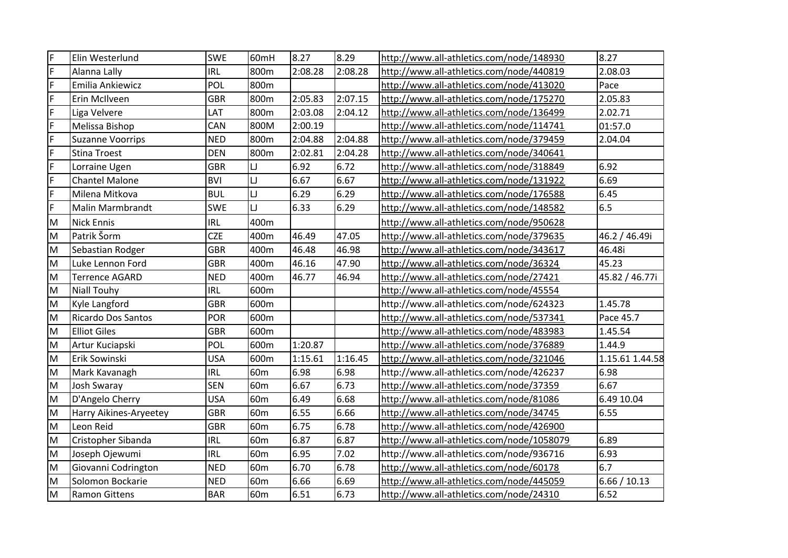| F                                                                                     | Elin Westerlund           | <b>SWE</b> | 60mH            | 8.27    | 8.29    | http://www.all-athletics.com/node/148930  | 8.27            |
|---------------------------------------------------------------------------------------|---------------------------|------------|-----------------|---------|---------|-------------------------------------------|-----------------|
| F                                                                                     | Alanna Lally              | IRL        | 800m            | 2:08.28 | 2:08.28 | http://www.all-athletics.com/node/440819  | 2.08.03         |
| F                                                                                     | Emilia Ankiewicz          | POL        | 800m            |         |         | http://www.all-athletics.com/node/413020  | Pace            |
| F                                                                                     | Erin McIlveen             | <b>GBR</b> | 800m            | 2:05.83 | 2:07.15 | http://www.all-athletics.com/node/175270  | 2.05.83         |
| F                                                                                     | Liga Velvere              | LAT        | 800m            | 2:03.08 | 2:04.12 | http://www.all-athletics.com/node/136499  | 2.02.71         |
| F                                                                                     | Melissa Bishop            | CAN        | 800M            | 2:00.19 |         | http://www.all-athletics.com/node/114741  | 01:57.0         |
| F                                                                                     | <b>Suzanne Voorrips</b>   | <b>NED</b> | 800m            | 2:04.88 | 2:04.88 | http://www.all-athletics.com/node/379459  | 2.04.04         |
| F                                                                                     | <b>Stina Troest</b>       | <b>DEN</b> | 800m            | 2:02.81 | 2:04.28 | http://www.all-athletics.com/node/340641  |                 |
| F                                                                                     | Lorraine Ugen             | <b>GBR</b> | IJ              | 6.92    | 6.72    | http://www.all-athletics.com/node/318849  | 6.92            |
| F                                                                                     | <b>Chantel Malone</b>     | <b>BVI</b> | IJ              | 6.67    | 6.67    | http://www.all-athletics.com/node/131922  | 6.69            |
| F                                                                                     | Milena Mitkova            | <b>BUL</b> | IJ              | 6.29    | 6.29    | http://www.all-athletics.com/node/176588  | 6.45            |
| F                                                                                     | <b>Malin Marmbrandt</b>   | <b>SWE</b> | $\Box$          | 6.33    | 6.29    | http://www.all-athletics.com/node/148582  | 6.5             |
| ${\sf M}$                                                                             | <b>Nick Ennis</b>         | IRL        | 400m            |         |         | http://www.all-athletics.com/node/950628  |                 |
| ${\sf M}$                                                                             | Patrik Šorm               | <b>CZE</b> | 400m            | 46.49   | 47.05   | http://www.all-athletics.com/node/379635  | 46.2 / 46.49i   |
| M                                                                                     | Sebastian Rodger          | <b>GBR</b> | 400m            | 46.48   | 46.98   | http://www.all-athletics.com/node/343617  | 46.48i          |
| M                                                                                     | Luke Lennon Ford          | <b>GBR</b> | 400m            | 46.16   | 47.90   | http://www.all-athletics.com/node/36324   | 45.23           |
| ${\sf M}$                                                                             | Terrence AGARD            | <b>NED</b> | 400m            | 46.77   | 46.94   | http://www.all-athletics.com/node/27421   | 45.82 / 46.77i  |
| M                                                                                     | <b>Niall Touhy</b>        | IRL        | 600m            |         |         | http://www.all-athletics.com/node/45554   |                 |
| M                                                                                     | Kyle Langford             | <b>GBR</b> | 600m            |         |         | http://www.all-athletics.com/node/624323  | 1.45.78         |
| M                                                                                     | <b>Ricardo Dos Santos</b> | POR        | 600m            |         |         | http://www.all-athletics.com/node/537341  | Pace 45.7       |
| M                                                                                     | <b>Elliot Giles</b>       | <b>GBR</b> | 600m            |         |         | http://www.all-athletics.com/node/483983  | 1.45.54         |
| M                                                                                     | Artur Kuciapski           | POL        | 600m            | 1:20.87 |         | http://www.all-athletics.com/node/376889  | 1.44.9          |
| M                                                                                     | Erik Sowinski             | <b>USA</b> | 600m            | 1:15.61 | 1:16.45 | http://www.all-athletics.com/node/321046  | 1.15.61 1.44.58 |
| M                                                                                     | Mark Kavanagh             | IRL        | 60 <sub>m</sub> | 6.98    | 6.98    | http://www.all-athletics.com/node/426237  | 6.98            |
| M                                                                                     | <b>Josh Swaray</b>        | <b>SEN</b> | 60 <sub>m</sub> | 6.67    | 6.73    | http://www.all-athletics.com/node/37359   | 6.67            |
| M                                                                                     | D'Angelo Cherry           | <b>USA</b> | 60 <sub>m</sub> | 6.49    | 6.68    | http://www.all-athletics.com/node/81086   | 6.49 10.04      |
| M                                                                                     | Harry Aikines-Aryeetey    | <b>GBR</b> | 60 <sub>m</sub> | 6.55    | 6.66    | http://www.all-athletics.com/node/34745   | 6.55            |
| M                                                                                     | Leon Reid                 | <b>GBR</b> | 60 <sub>m</sub> | 6.75    | 6.78    | http://www.all-athletics.com/node/426900  |                 |
| M                                                                                     | Cristopher Sibanda        | <b>IRL</b> | 60 <sub>m</sub> | 6.87    | 6.87    | http://www.all-athletics.com/node/1058079 | 6.89            |
| $\mathsf{M}% _{T}=\mathsf{M}_{T}\!\left( a,b\right) ,\ \mathsf{M}_{T}=\mathsf{M}_{T}$ | Joseph Ojewumi            | <b>IRL</b> | 60 <sub>m</sub> | 6.95    | 7.02    | http://www.all-athletics.com/node/936716  | 6.93            |
| M                                                                                     | Giovanni Codrington       | <b>NED</b> | 60 <sub>m</sub> | 6.70    | 6.78    | http://www.all-athletics.com/node/60178   | 6.7             |
| M                                                                                     | Solomon Bockarie          | <b>NED</b> | 60 <sub>m</sub> | 6.66    | 6.69    | http://www.all-athletics.com/node/445059  | 6.66 / 10.13    |
| M                                                                                     | <b>Ramon Gittens</b>      | <b>BAR</b> | 60 <sub>m</sub> | 6.51    | 6.73    | http://www.all-athletics.com/node/24310   | 6.52            |